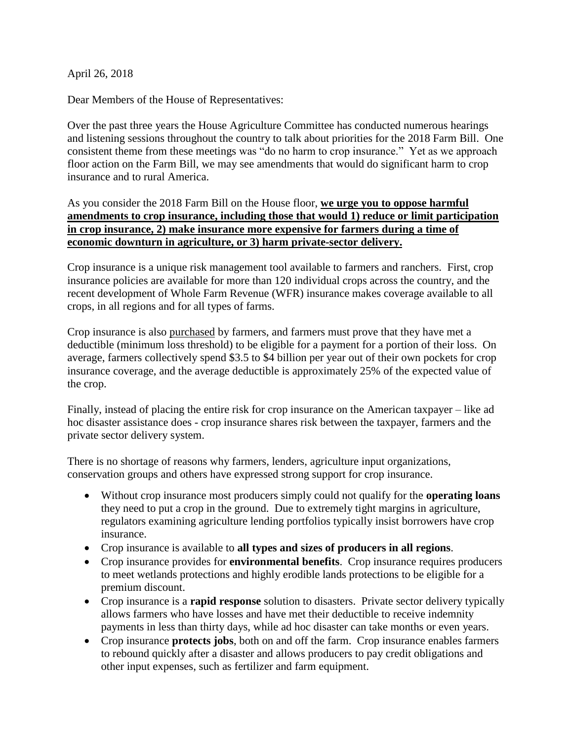April 26, 2018

Dear Members of the House of Representatives:

Over the past three years the House Agriculture Committee has conducted numerous hearings and listening sessions throughout the country to talk about priorities for the 2018 Farm Bill. One consistent theme from these meetings was "do no harm to crop insurance." Yet as we approach floor action on the Farm Bill, we may see amendments that would do significant harm to crop insurance and to rural America.

As you consider the 2018 Farm Bill on the House floor, **we urge you to oppose harmful amendments to crop insurance, including those that would 1) reduce or limit participation in crop insurance, 2) make insurance more expensive for farmers during a time of economic downturn in agriculture, or 3) harm private-sector delivery.** 

Crop insurance is a unique risk management tool available to farmers and ranchers. First, crop insurance policies are available for more than 120 individual crops across the country, and the recent development of Whole Farm Revenue (WFR) insurance makes coverage available to all crops, in all regions and for all types of farms.

Crop insurance is also purchased by farmers, and farmers must prove that they have met a deductible (minimum loss threshold) to be eligible for a payment for a portion of their loss. On average, farmers collectively spend \$3.5 to \$4 billion per year out of their own pockets for crop insurance coverage, and the average deductible is approximately 25% of the expected value of the crop.

Finally, instead of placing the entire risk for crop insurance on the American taxpayer – like ad hoc disaster assistance does - crop insurance shares risk between the taxpayer, farmers and the private sector delivery system.

There is no shortage of reasons why farmers, lenders, agriculture input organizations, conservation groups and others have expressed strong support for crop insurance.

- Without crop insurance most producers simply could not qualify for the **operating loans** they need to put a crop in the ground. Due to extremely tight margins in agriculture, regulators examining agriculture lending portfolios typically insist borrowers have crop insurance.
- Crop insurance is available to **all types and sizes of producers in all regions**.
- Crop insurance provides for **environmental benefits**. Crop insurance requires producers to meet wetlands protections and highly erodible lands protections to be eligible for a premium discount.
- Crop insurance is a **rapid response** solution to disasters. Private sector delivery typically allows farmers who have losses and have met their deductible to receive indemnity payments in less than thirty days, while ad hoc disaster can take months or even years.
- Crop insurance **protects jobs**, both on and off the farm. Crop insurance enables farmers to rebound quickly after a disaster and allows producers to pay credit obligations and other input expenses, such as fertilizer and farm equipment.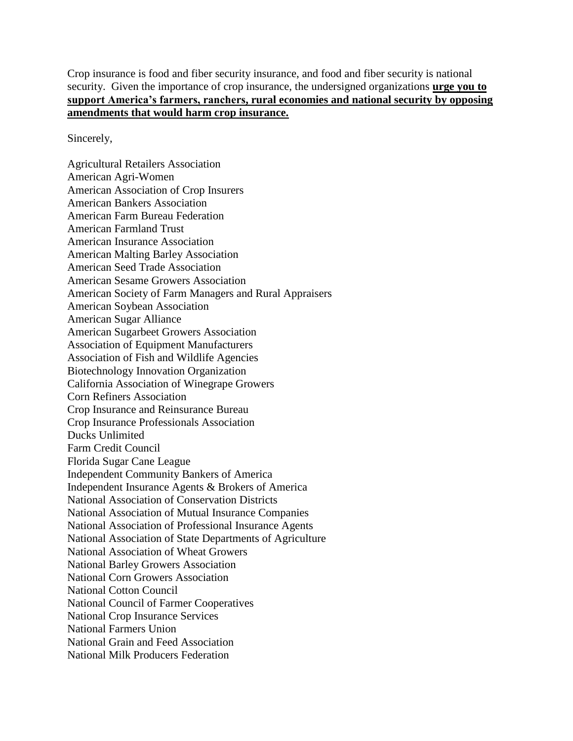Crop insurance is food and fiber security insurance, and food and fiber security is national security. Given the importance of crop insurance, the undersigned organizations **urge you to support America's farmers, ranchers, rural economies and national security by opposing amendments that would harm crop insurance.**

Sincerely,

Agricultural Retailers Association American Agri-Women American Association of Crop Insurers American Bankers Association American Farm Bureau Federation American Farmland Trust American Insurance Association American Malting Barley Association American Seed Trade Association American Sesame Growers Association American Society of Farm Managers and Rural Appraisers American Soybean Association American Sugar Alliance American Sugarbeet Growers Association Association of Equipment Manufacturers Association of Fish and Wildlife Agencies Biotechnology Innovation Organization California Association of Winegrape Growers Corn Refiners Association Crop Insurance and Reinsurance Bureau Crop Insurance Professionals Association Ducks Unlimited Farm Credit Council Florida Sugar Cane League Independent Community Bankers of America Independent Insurance Agents & Brokers of America National Association of Conservation Districts National Association of Mutual Insurance Companies National Association of Professional Insurance Agents National Association of State Departments of Agriculture National Association of Wheat Growers National Barley Growers Association National Corn Growers Association National Cotton Council National Council of Farmer Cooperatives National Crop Insurance Services National Farmers Union National Grain and Feed Association National Milk Producers Federation